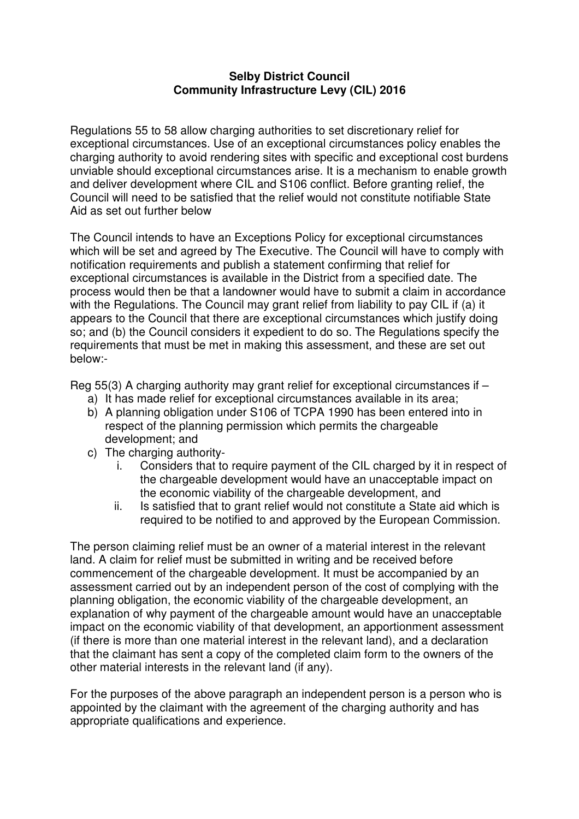## **Selby District Council Community Infrastructure Levy (CIL) 2016**

Regulations 55 to 58 allow charging authorities to set discretionary relief for exceptional circumstances. Use of an exceptional circumstances policy enables the charging authority to avoid rendering sites with specific and exceptional cost burdens unviable should exceptional circumstances arise. It is a mechanism to enable growth and deliver development where CIL and S106 conflict. Before granting relief, the Council will need to be satisfied that the relief would not constitute notifiable State Aid as set out further below

The Council intends to have an Exceptions Policy for exceptional circumstances which will be set and agreed by The Executive. The Council will have to comply with notification requirements and publish a statement confirming that relief for exceptional circumstances is available in the District from a specified date. The process would then be that a landowner would have to submit a claim in accordance with the Regulations. The Council may grant relief from liability to pay CIL if (a) it appears to the Council that there are exceptional circumstances which justify doing so; and (b) the Council considers it expedient to do so. The Regulations specify the requirements that must be met in making this assessment, and these are set out below:-

Reg 55(3) A charging authority may grant relief for exceptional circumstances if –

- a) It has made relief for exceptional circumstances available in its area;
- b) A planning obligation under S106 of TCPA 1990 has been entered into in respect of the planning permission which permits the chargeable development; and
- c) The charging authority
	- i. Considers that to require payment of the CIL charged by it in respect of the chargeable development would have an unacceptable impact on the economic viability of the chargeable development, and
	- ii. Is satisfied that to grant relief would not constitute a State aid which is required to be notified to and approved by the European Commission.

The person claiming relief must be an owner of a material interest in the relevant land. A claim for relief must be submitted in writing and be received before commencement of the chargeable development. It must be accompanied by an assessment carried out by an independent person of the cost of complying with the planning obligation, the economic viability of the chargeable development, an explanation of why payment of the chargeable amount would have an unacceptable impact on the economic viability of that development, an apportionment assessment (if there is more than one material interest in the relevant land), and a declaration that the claimant has sent a copy of the completed claim form to the owners of the other material interests in the relevant land (if any).

For the purposes of the above paragraph an independent person is a person who is appointed by the claimant with the agreement of the charging authority and has appropriate qualifications and experience.